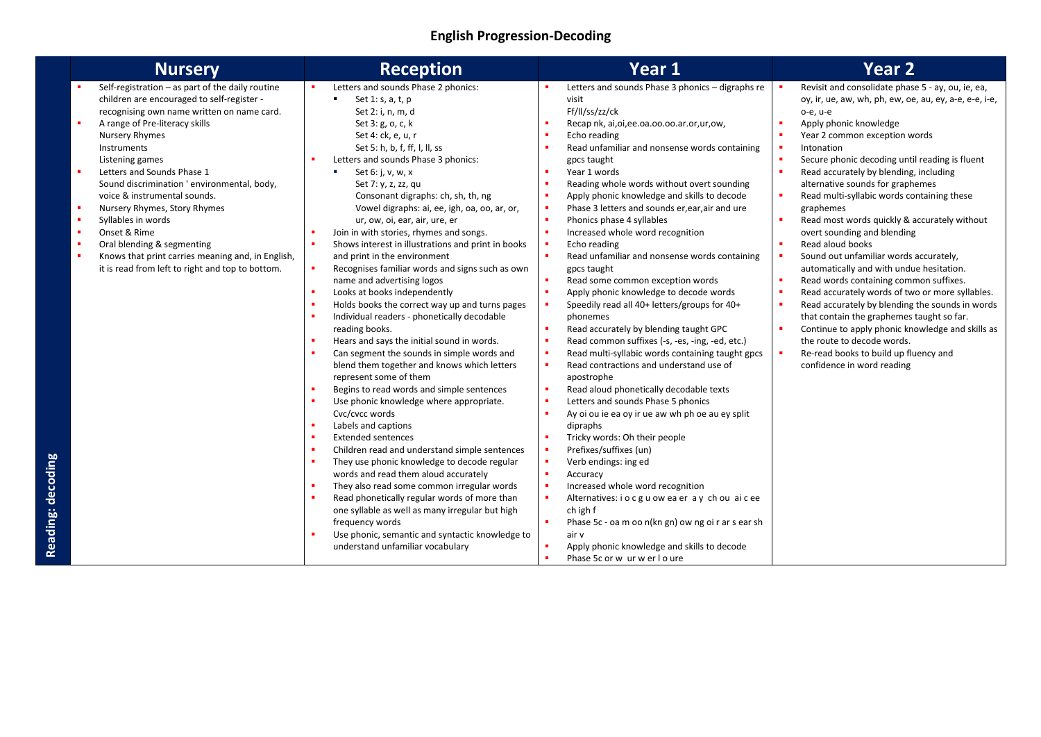### **English Progression-Decoding**

| <b>Nursery</b>                                                                                                                                                                                                                                                                                                                                                                                                                                                                                                                                                                                                         | <b>Reception</b>                                                                                                                                                                                                                                                                                                                                                                                                                                                                                                                                                                                                                                                                                                                                                                                                                                                                                                                                                                                                                                                                                                                                                                                                                                                                                                                                                                                                  | Year 1                                                                                                                                                                                                                                                                                                                                                                                                                                                                                                                                                                                                                                                                                                                                                                                                                                                                                                                                                                                                                                                                                                                                                                                                                                                                                                                                                                                                                                                                                                           | Year <sub>2</sub>                                                                                                                                                                                                                                                                                                                                                                                                                                                                                                                                                                                                                                                                                                                                                                                                                                                                                                                          |
|------------------------------------------------------------------------------------------------------------------------------------------------------------------------------------------------------------------------------------------------------------------------------------------------------------------------------------------------------------------------------------------------------------------------------------------------------------------------------------------------------------------------------------------------------------------------------------------------------------------------|-------------------------------------------------------------------------------------------------------------------------------------------------------------------------------------------------------------------------------------------------------------------------------------------------------------------------------------------------------------------------------------------------------------------------------------------------------------------------------------------------------------------------------------------------------------------------------------------------------------------------------------------------------------------------------------------------------------------------------------------------------------------------------------------------------------------------------------------------------------------------------------------------------------------------------------------------------------------------------------------------------------------------------------------------------------------------------------------------------------------------------------------------------------------------------------------------------------------------------------------------------------------------------------------------------------------------------------------------------------------------------------------------------------------|------------------------------------------------------------------------------------------------------------------------------------------------------------------------------------------------------------------------------------------------------------------------------------------------------------------------------------------------------------------------------------------------------------------------------------------------------------------------------------------------------------------------------------------------------------------------------------------------------------------------------------------------------------------------------------------------------------------------------------------------------------------------------------------------------------------------------------------------------------------------------------------------------------------------------------------------------------------------------------------------------------------------------------------------------------------------------------------------------------------------------------------------------------------------------------------------------------------------------------------------------------------------------------------------------------------------------------------------------------------------------------------------------------------------------------------------------------------------------------------------------------------|--------------------------------------------------------------------------------------------------------------------------------------------------------------------------------------------------------------------------------------------------------------------------------------------------------------------------------------------------------------------------------------------------------------------------------------------------------------------------------------------------------------------------------------------------------------------------------------------------------------------------------------------------------------------------------------------------------------------------------------------------------------------------------------------------------------------------------------------------------------------------------------------------------------------------------------------|
| Self-registration $-$ as part of the daily routine<br>children are encouraged to self-register -<br>recognising own name written on name card.<br>٠<br>A range of Pre-literacy skills<br><b>Nursery Rhymes</b><br>Instruments<br>Listening games<br>×<br>Letters and Sounds Phase 1<br>Sound discrimination ' environmental, body,<br>voice & instrumental sounds.<br>×<br>Nursery Rhymes, Story Rhymes<br>×<br>Syllables in words<br>Onset & Rime<br>×.<br>×<br>Oral blending & segmenting<br>$\blacksquare$<br>Knows that print carries meaning and, in English,<br>it is read from left to right and top to bottom. | Letters and sounds Phase 2 phonics:<br>Set 1: s, a, t, p<br>п.<br>Set 2: i, n, m, d<br>Set 3: g, o, c, k<br>Set 4: ck, e, u, r<br>Set 5: h, b, f, ff, l, ll, ss<br>Letters and sounds Phase 3 phonics:<br>Set 6: j, v, w, x<br>×<br>Set 7: y, z, zz, qu<br>Consonant digraphs: ch, sh, th, ng<br>Vowel digraphs: ai, ee, igh, oa, oo, ar, or,<br>ur, ow, oi, ear, air, ure, er<br>Join in with stories, rhymes and songs.<br>Shows interest in illustrations and print in books<br>×<br>and print in the environment<br>Recognises familiar words and signs such as own<br>name and advertising logos<br>Looks at books independently<br>×<br>Holds books the correct way up and turns pages<br>Individual readers - phonetically decodable<br>reading books.<br>Hears and says the initial sound in words.<br>Can segment the sounds in simple words and<br>blend them together and knows which letters<br>represent some of them<br>Begins to read words and simple sentences<br>Use phonic knowledge where appropriate.<br>Cvc/cvcc words<br>Labels and captions<br><b>Extended sentences</b><br>Children read and understand simple sentences<br>×<br>They use phonic knowledge to decode regular<br>words and read them aloud accurately<br>They also read some common irregular words<br>Read phonetically regular words of more than<br>one syllable as well as many irregular but high<br>frequency words | Letters and sounds Phase 3 phonics - digraphs re<br>visit<br>Ff/II/ss/zz/ck<br>Recap nk, ai, oi, ee. oa. oo. oo. ar. or, ur, ow,<br>٠<br>$\blacksquare$<br>Echo reading<br>٠<br>Read unfamiliar and nonsense words containing<br>gpcs taught<br>Year 1 words<br>٠<br>٠<br>Reading whole words without overt sounding<br>٠<br>Apply phonic knowledge and skills to decode<br>٠<br>Phase 3 letters and sounds er, ear, air and ure<br>٠<br>Phonics phase 4 syllables<br>×<br>Increased whole word recognition<br>٠<br>Echo reading<br>×<br>Read unfamiliar and nonsense words containing<br>gpcs taught<br>٠<br>Read some common exception words<br>×<br>Apply phonic knowledge to decode words<br>٠<br>Speedily read all 40+ letters/groups for 40+<br>phonemes<br>٠<br>Read accurately by blending taught GPC<br>٠<br>Read common suffixes (-s, -es, -ing, -ed, etc.)<br>$\bullet$<br>Read multi-syllabic words containing taught gpcs<br>$\blacksquare$<br>Read contractions and understand use of<br>apostrophe<br>٠<br>Read aloud phonetically decodable texts<br>$\bullet$<br>Letters and sounds Phase 5 phonics<br>٠<br>Ay oi ou ie ea oy ir ue aw wh ph oe au ey split<br>dipraphs<br>٠<br>Tricky words: Oh their people<br>٠<br>Prefixes/suffixes (un)<br>$\blacksquare$<br>Verb endings: ing ed<br>$\blacksquare$<br>Accuracy<br>٠<br>Increased whole word recognition<br>٠<br>Alternatives: i o c g u ow ea er a y ch ou ai c ee<br>ch igh f<br>×<br>Phase 5c - oa m oo n(kn gn) ow ng oi r ar s ear sh | Revisit and consolidate phase 5 - ay, ou, ie, ea,<br>oy, ir, ue, aw, wh, ph, ew, oe, au, ey, a-e, e-e, i-e,<br>o-e, u-e<br>Apply phonic knowledge<br>Year 2 common exception words<br>Intonation<br>Secure phonic decoding until reading is fluent<br>Read accurately by blending, including<br>alternative sounds for graphemes<br>Read multi-syllabic words containing these<br>graphemes<br>Read most words quickly & accurately without<br>overt sounding and blending<br>Read aloud books<br>Sound out unfamiliar words accurately,<br>automatically and with undue hesitation.<br>Read words containing common suffixes.<br>Read accurately words of two or more syllables.<br>Read accurately by blending the sounds in words<br>that contain the graphemes taught so far.<br>Continue to apply phonic knowledge and skills as<br>the route to decode words.<br>Re-read books to build up fluency and<br>confidence in word reading |
|                                                                                                                                                                                                                                                                                                                                                                                                                                                                                                                                                                                                                        | Use phonic, semantic and syntactic knowledge to<br>understand unfamiliar vocabulary                                                                                                                                                                                                                                                                                                                                                                                                                                                                                                                                                                                                                                                                                                                                                                                                                                                                                                                                                                                                                                                                                                                                                                                                                                                                                                                               | air v<br>٠<br>Apply phonic knowledge and skills to decode<br>Phase 5c or w ur w er l o ure                                                                                                                                                                                                                                                                                                                                                                                                                                                                                                                                                                                                                                                                                                                                                                                                                                                                                                                                                                                                                                                                                                                                                                                                                                                                                                                                                                                                                       |                                                                                                                                                                                                                                                                                                                                                                                                                                                                                                                                                                                                                                                                                                                                                                                                                                                                                                                                            |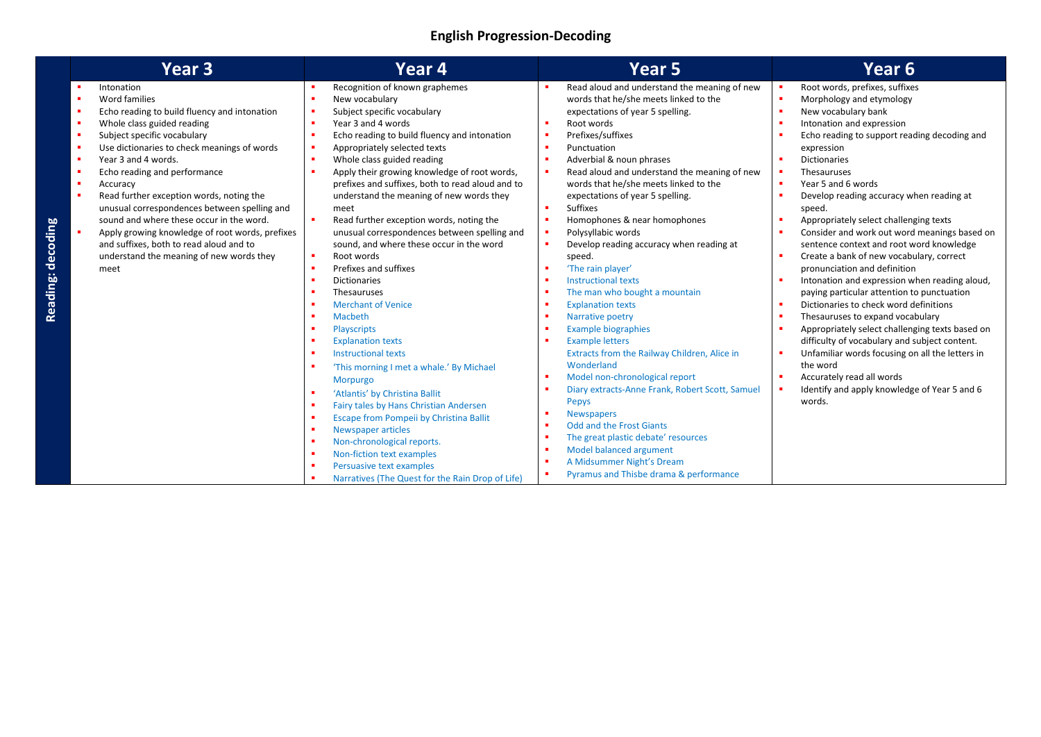| Year 3                                                                                                                                                                                                                                                                                                                                                                                                                                                                                                                                               | Year 4                                                                                                                                                                                                                                                                                                                                                                                                                                                                                                                                                                                                                                                                                                                                                                                                                                                                                                                                                                                                                                                | Year 5                                                                                                                                                                                                                                                                                                                                                                                                                                                                                                                                                                                                                                                                                                                                                                                                                                                                                        | Year 6                                                                                                                                                                                                                                                                                                                                                                                                                                                                                                                                                                                                                                                                                                                                                                                                                                                                                                                                                                                                                                                       |
|------------------------------------------------------------------------------------------------------------------------------------------------------------------------------------------------------------------------------------------------------------------------------------------------------------------------------------------------------------------------------------------------------------------------------------------------------------------------------------------------------------------------------------------------------|-------------------------------------------------------------------------------------------------------------------------------------------------------------------------------------------------------------------------------------------------------------------------------------------------------------------------------------------------------------------------------------------------------------------------------------------------------------------------------------------------------------------------------------------------------------------------------------------------------------------------------------------------------------------------------------------------------------------------------------------------------------------------------------------------------------------------------------------------------------------------------------------------------------------------------------------------------------------------------------------------------------------------------------------------------|-----------------------------------------------------------------------------------------------------------------------------------------------------------------------------------------------------------------------------------------------------------------------------------------------------------------------------------------------------------------------------------------------------------------------------------------------------------------------------------------------------------------------------------------------------------------------------------------------------------------------------------------------------------------------------------------------------------------------------------------------------------------------------------------------------------------------------------------------------------------------------------------------|--------------------------------------------------------------------------------------------------------------------------------------------------------------------------------------------------------------------------------------------------------------------------------------------------------------------------------------------------------------------------------------------------------------------------------------------------------------------------------------------------------------------------------------------------------------------------------------------------------------------------------------------------------------------------------------------------------------------------------------------------------------------------------------------------------------------------------------------------------------------------------------------------------------------------------------------------------------------------------------------------------------------------------------------------------------|
| Intonation<br>Word families<br>Echo reading to build fluency and intonation<br>Whole class guided reading<br>Subject specific vocabulary<br>Use dictionaries to check meanings of words<br>Year 3 and 4 words.<br>Echo reading and performance<br>Accuracy<br>Read further exception words, noting the<br>unusual correspondences between spelling and<br>sound and where these occur in the word.<br>Apply growing knowledge of root words, prefixes<br>and suffixes, both to read aloud and to<br>understand the meaning of new words they<br>meet | Recognition of known graphemes<br>New vocabulary<br>Subject specific vocabulary<br>$\blacksquare$<br>Year 3 and 4 words<br>×<br>Echo reading to build fluency and intonation<br>$\blacksquare$<br>Appropriately selected texts<br>$\blacksquare$<br>Whole class guided reading<br>×<br>Apply their growing knowledge of root words,<br>prefixes and suffixes, both to read aloud and to<br>understand the meaning of new words they<br>meet<br>Read further exception words, noting the<br>unusual correspondences between spelling and<br>sound, and where these occur in the word<br>Root words<br>$\blacksquare$<br>Prefixes and suffixes<br><b>Dictionaries</b><br>п.<br>Thesauruses<br>п.<br><b>Merchant of Venice</b><br>Macbeth<br>×<br>Playscripts<br>٠<br><b>Explanation texts</b><br><b>Instructional texts</b><br>п.<br>'This morning I met a whale.' By Michael<br>Morpurgo<br>'Atlantis' by Christina Ballit<br>п.<br>Fairy tales by Hans Christian Andersen<br>×<br>Escape from Pompeii by Christina Ballit<br>п.<br>Newspaper articles | Read aloud and understand the meaning of new<br>words that he/she meets linked to the<br>expectations of year 5 spelling.<br>Root words<br>Prefixes/suffixes<br>٠<br>Punctuation<br>Adverbial & noun phrases<br>Read aloud and understand the meaning of new<br>words that he/she meets linked to the<br>expectations of year 5 spelling.<br><b>Suffixes</b><br>Homophones & near homophones<br>Polysyllabic words<br>Develop reading accuracy when reading at<br>٠<br>speed.<br>'The rain player'<br><b>Instructional texts</b><br>The man who bought a mountain<br><b>Explanation texts</b><br>Narrative poetry<br><b>Example biographies</b><br><b>Example letters</b><br>Extracts from the Railway Children, Alice in<br>Wonderland<br>Model non-chronological report<br>Diary extracts-Anne Frank, Robert Scott, Samuel<br>Pepys<br><b>Newspapers</b><br><b>Odd and the Frost Giants</b> | Root words, prefixes, suffixes<br>×<br>Morphology and etymology<br>×<br>×<br>New vocabulary bank<br>Intonation and expression<br>٠.<br>Echo reading to support reading decoding and<br>٠<br>expression<br><b>Dictionaries</b><br>Thesauruses<br>٠.<br>$\blacksquare$<br>Year 5 and 6 words<br>Develop reading accuracy when reading at<br>٠<br>speed.<br>Appropriately select challenging texts<br>٠<br>Consider and work out word meanings based on<br>٠<br>sentence context and root word knowledge<br>Create a bank of new vocabulary, correct<br>٠<br>pronunciation and definition<br>Intonation and expression when reading aloud,<br>paying particular attention to punctuation<br>Dictionaries to check word definitions<br>٠<br>×<br>Thesauruses to expand vocabulary<br>Appropriately select challenging texts based on<br>٠<br>difficulty of vocabulary and subject content.<br>Unfamiliar words focusing on all the letters in<br>٠<br>the word<br>٠<br>Accurately read all words<br>Identify and apply knowledge of Year 5 and 6<br>٠.<br>words. |
|                                                                                                                                                                                                                                                                                                                                                                                                                                                                                                                                                      | Non-chronological reports.<br>п.<br>Non-fiction text examples<br>п.<br>Persuasive text examples<br>п.                                                                                                                                                                                                                                                                                                                                                                                                                                                                                                                                                                                                                                                                                                                                                                                                                                                                                                                                                 | The great plastic debate' resources<br>Model balanced argument<br>A Midsummer Night's Dream<br>Pyramus and Thisbe drama & performance                                                                                                                                                                                                                                                                                                                                                                                                                                                                                                                                                                                                                                                                                                                                                         |                                                                                                                                                                                                                                                                                                                                                                                                                                                                                                                                                                                                                                                                                                                                                                                                                                                                                                                                                                                                                                                              |
|                                                                                                                                                                                                                                                                                                                                                                                                                                                                                                                                                      | Narratives (The Quest for the Rain Drop of Life)                                                                                                                                                                                                                                                                                                                                                                                                                                                                                                                                                                                                                                                                                                                                                                                                                                                                                                                                                                                                      |                                                                                                                                                                                                                                                                                                                                                                                                                                                                                                                                                                                                                                                                                                                                                                                                                                                                                               |                                                                                                                                                                                                                                                                                                                                                                                                                                                                                                                                                                                                                                                                                                                                                                                                                                                                                                                                                                                                                                                              |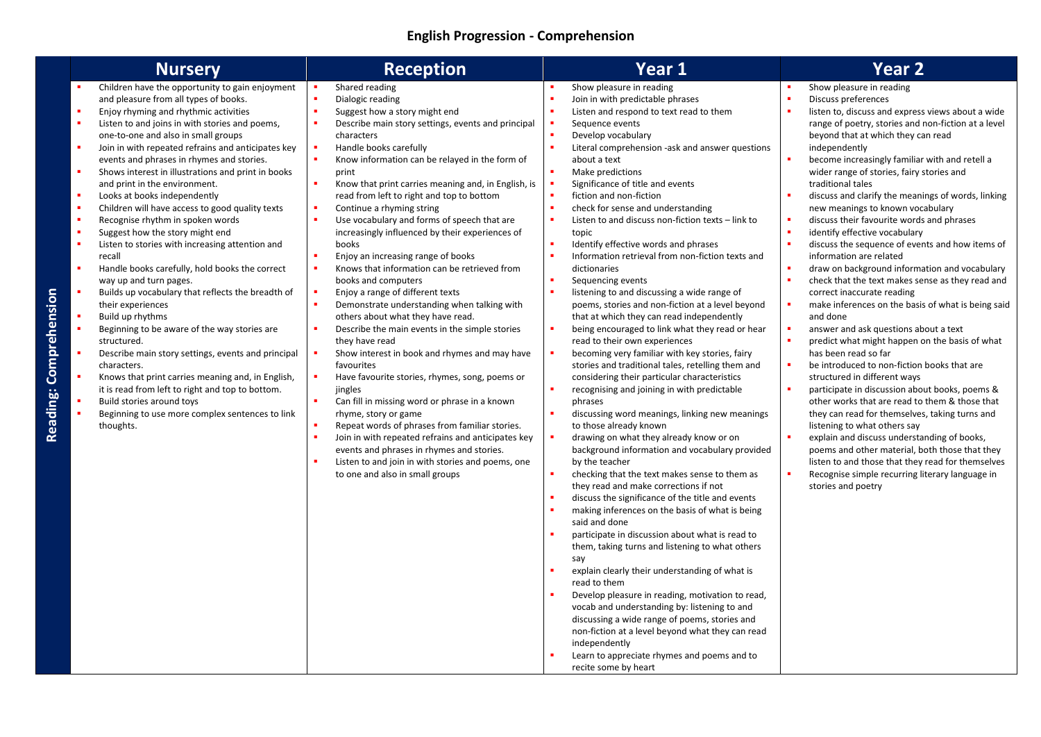### **English Progression - Comprehension**

|                        | <b>Nursery</b>                                                                                                                                                                                                                                                                                                                                                                                                                                                                                                                                                                                                                                                                                                                                                                                                                                                                                                                                                                                                                                                                                                                                                  | <b>Reception</b>                                                                                                                                                                                                                                                                                                                                                                                                                                                                                                                                                                                                                                                                                                                                                                                                                                                                                                                                                                                                                                                                                                                                                                                                                    | Year 1                                                                                                                                                                                                                                                                                                                                                                                                                                                                                                                                                                                                                                                                                                                                                                                                                                                                                                                                                                                                                                                                                                                                                                                                                                                                                                                                                                                                                                                                                                                                                                                                                                                                                                                                                                                                                                                                                       | <b>Year 2</b>                                                                                                                                                                                                                                                                                                                                                                                                                                                                                                                                                                                                                                                                                                                                                                                                                                                                                                                                                                                                                                                                                                                                                                                                                                                                                                                                                                                                            |
|------------------------|-----------------------------------------------------------------------------------------------------------------------------------------------------------------------------------------------------------------------------------------------------------------------------------------------------------------------------------------------------------------------------------------------------------------------------------------------------------------------------------------------------------------------------------------------------------------------------------------------------------------------------------------------------------------------------------------------------------------------------------------------------------------------------------------------------------------------------------------------------------------------------------------------------------------------------------------------------------------------------------------------------------------------------------------------------------------------------------------------------------------------------------------------------------------|-------------------------------------------------------------------------------------------------------------------------------------------------------------------------------------------------------------------------------------------------------------------------------------------------------------------------------------------------------------------------------------------------------------------------------------------------------------------------------------------------------------------------------------------------------------------------------------------------------------------------------------------------------------------------------------------------------------------------------------------------------------------------------------------------------------------------------------------------------------------------------------------------------------------------------------------------------------------------------------------------------------------------------------------------------------------------------------------------------------------------------------------------------------------------------------------------------------------------------------|----------------------------------------------------------------------------------------------------------------------------------------------------------------------------------------------------------------------------------------------------------------------------------------------------------------------------------------------------------------------------------------------------------------------------------------------------------------------------------------------------------------------------------------------------------------------------------------------------------------------------------------------------------------------------------------------------------------------------------------------------------------------------------------------------------------------------------------------------------------------------------------------------------------------------------------------------------------------------------------------------------------------------------------------------------------------------------------------------------------------------------------------------------------------------------------------------------------------------------------------------------------------------------------------------------------------------------------------------------------------------------------------------------------------------------------------------------------------------------------------------------------------------------------------------------------------------------------------------------------------------------------------------------------------------------------------------------------------------------------------------------------------------------------------------------------------------------------------------------------------------------------------|--------------------------------------------------------------------------------------------------------------------------------------------------------------------------------------------------------------------------------------------------------------------------------------------------------------------------------------------------------------------------------------------------------------------------------------------------------------------------------------------------------------------------------------------------------------------------------------------------------------------------------------------------------------------------------------------------------------------------------------------------------------------------------------------------------------------------------------------------------------------------------------------------------------------------------------------------------------------------------------------------------------------------------------------------------------------------------------------------------------------------------------------------------------------------------------------------------------------------------------------------------------------------------------------------------------------------------------------------------------------------------------------------------------------------|
| Reading: Comprehension | Children have the opportunity to gain enjoyment<br>and pleasure from all types of books.<br>Enjoy rhyming and rhythmic activities<br>Listen to and joins in with stories and poems,<br>one-to-one and also in small groups<br>Join in with repeated refrains and anticipates key<br>events and phrases in rhymes and stories.<br>Shows interest in illustrations and print in books<br>and print in the environment.<br>Looks at books independently<br>Children will have access to good quality texts<br>Recognise rhythm in spoken words<br>Suggest how the story might end<br>Listen to stories with increasing attention and<br>recall<br>Handle books carefully, hold books the correct<br>way up and turn pages.<br>Builds up vocabulary that reflects the breadth of<br>their experiences<br>Build up rhythms<br>Beginning to be aware of the way stories are<br>structured.<br>Describe main story settings, events and principal<br>characters.<br>Knows that print carries meaning and, in English,<br>it is read from left to right and top to bottom.<br>Build stories around toys<br>Beginning to use more complex sentences to link<br>thoughts. | Shared reading<br>Dialogic reading<br>Suggest how a story might end<br>Describe main story settings, events and principal<br>characters<br>Handle books carefully<br>Know information can be relayed in the form of<br>print<br>Know that print carries meaning and, in English, is<br>read from left to right and top to bottom<br>Continue a rhyming string<br>Use vocabulary and forms of speech that are<br>increasingly influenced by their experiences of<br>books<br>Enjoy an increasing range of books<br>Knows that information can be retrieved from<br>books and computers<br>Enjoy a range of different texts<br>Demonstrate understanding when talking with<br>others about what they have read.<br>Describe the main events in the simple stories<br>they have read<br>Show interest in book and rhymes and may have<br>favourites<br>Have favourite stories, rhymes, song, poems or<br>jingles<br>Can fill in missing word or phrase in a known<br>rhyme, story or game<br>Repeat words of phrases from familiar stories.<br>Join in with repeated refrains and anticipates key<br>events and phrases in rhymes and stories.<br>Listen to and join in with stories and poems, one<br>to one and also in small groups | Show pleasure in reading<br>Join in with predictable phrases<br>Listen and respond to text read to them<br>Sequence events<br>Develop vocabulary<br>Literal comprehension -ask and answer questions<br>about a text<br>Make predictions<br>Significance of title and events<br>fiction and non-fiction<br>check for sense and understanding<br>Listen to and discuss non-fiction texts - link to<br>topic<br>Identify effective words and phrases<br>Information retrieval from non-fiction texts and<br>dictionaries<br>Sequencing events<br>listening to and discussing a wide range of<br>poems, stories and non-fiction at a level beyond<br>that at which they can read independently<br>being encouraged to link what they read or hear<br>read to their own experiences<br>becoming very familiar with key stories, fairy<br>stories and traditional tales, retelling them and<br>considering their particular characteristics<br>recognising and joining in with predictable<br>phrases<br>discussing word meanings, linking new meanings<br>to those already known<br>drawing on what they already know or on<br>background information and vocabulary provided<br>by the teacher<br>checking that the text makes sense to them as<br>they read and make corrections if not<br>discuss the significance of the title and events<br>making inferences on the basis of what is being<br>said and done<br>participate in discussion about what is read to<br>them, taking turns and listening to what others<br>say<br>explain clearly their understanding of what is<br>read to them<br>Develop pleasure in reading, motivation to read,<br>vocab and understanding by: listening to and<br>discussing a wide range of poems, stories and<br>non-fiction at a level beyond what they can read<br>independently<br>Learn to appreciate rhymes and poems and to<br>recite some by heart | Show pleasure in reading<br>Discuss preferences<br>listen to, discuss and express views about a wide<br>range of poetry, stories and non-fiction at a level<br>beyond that at which they can read<br>independently<br>become increasingly familiar with and retell a<br>wider range of stories, fairy stories and<br>traditional tales<br>discuss and clarify the meanings of words, linking<br>new meanings to known vocabulary<br>discuss their favourite words and phrases<br>identify effective vocabulary<br>discuss the sequence of events and how items of<br>information are related<br>draw on background information and vocabulary<br>check that the text makes sense as they read and<br>correct inaccurate reading<br>make inferences on the basis of what is being said<br>and done<br>answer and ask questions about a text<br>predict what might happen on the basis of what<br>has been read so far<br>be introduced to non-fiction books that are<br>structured in different ways<br>participate in discussion about books, poems &<br>other works that are read to them & those that<br>they can read for themselves, taking turns and<br>listening to what others say<br>explain and discuss understanding of books,<br>poems and other material, both those that they<br>listen to and those that they read for themselves<br>Recognise simple recurring literary language in<br>stories and poetry |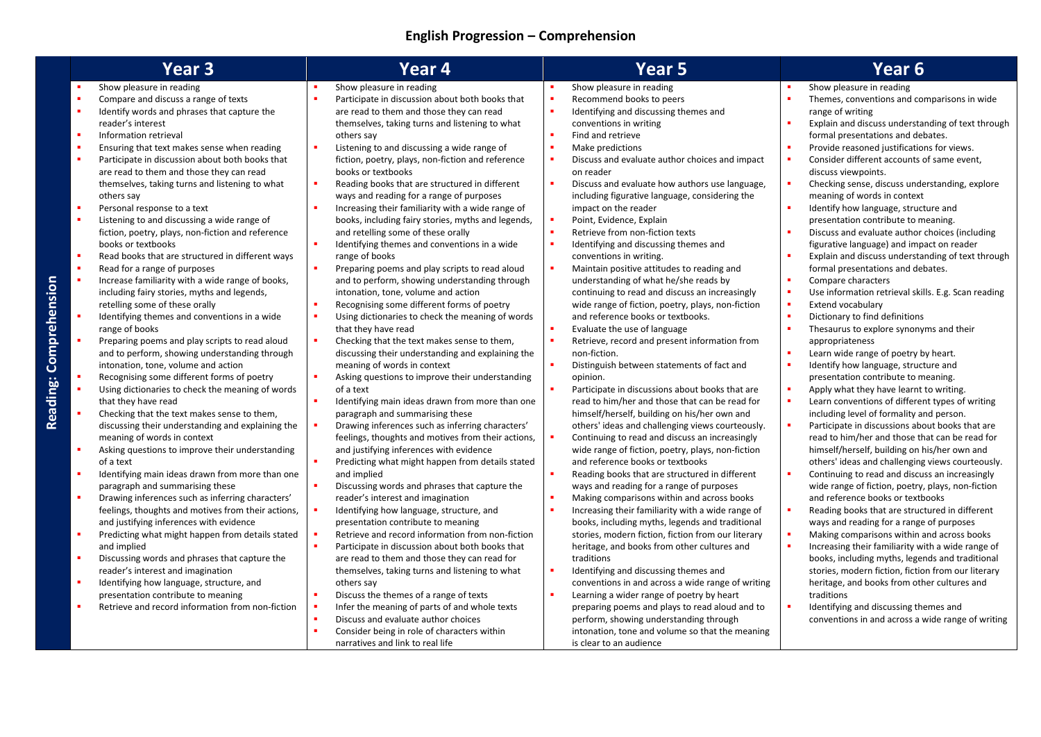# **English Progression – Comprehension**

Reading: Comprehension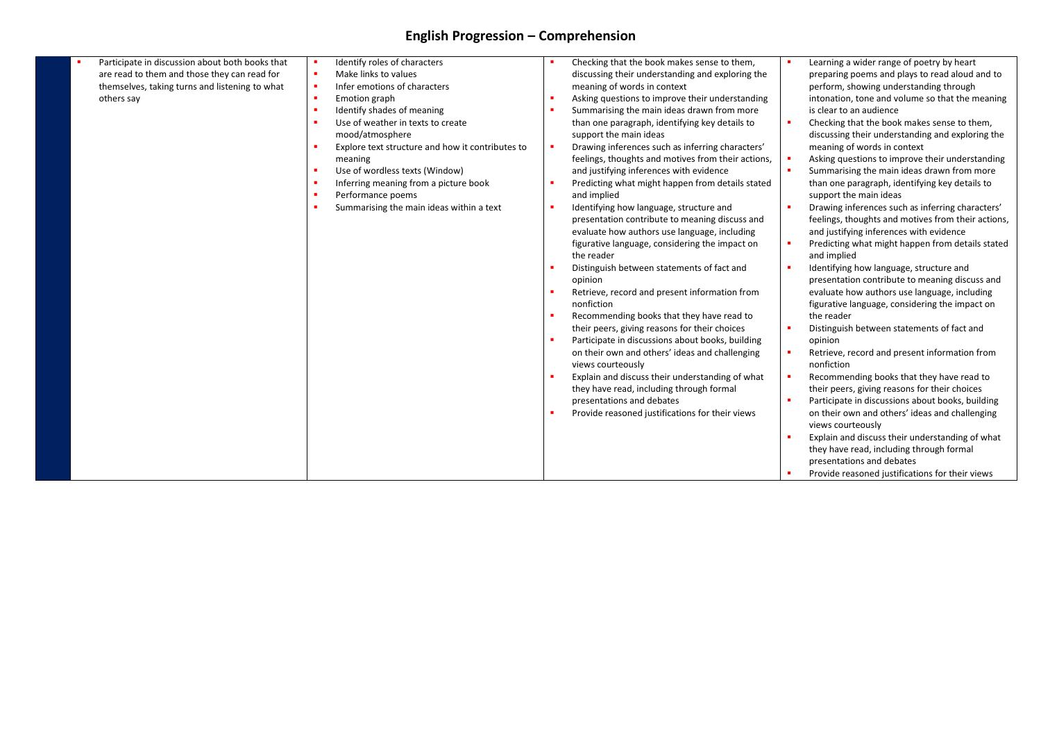# **English Progression – Comprehension**

| Participate in discussion about both books that | Identify roles of characters                     | Checking that the book makes sense to them,<br>×      | Learning a wider range of poetry by heart<br>п.    |
|-------------------------------------------------|--------------------------------------------------|-------------------------------------------------------|----------------------------------------------------|
| are read to them and those they can read for    | Make links to values                             | discussing their understanding and exploring the      | preparing poems and plays to read aloud and to     |
| themselves, taking turns and listening to what  | Infer emotions of characters                     | meaning of words in context                           | perform, showing understanding through             |
| others say                                      | Emotion graph                                    | Asking questions to improve their understanding       | intonation, tone and volume so that the meaning    |
|                                                 | Identify shades of meaning                       | Summarising the main ideas drawn from more            | is clear to an audience                            |
|                                                 | Use of weather in texts to create                | than one paragraph, identifying key details to        | Checking that the book makes sense to them,        |
|                                                 | mood/atmosphere                                  | support the main ideas                                | discussing their understanding and exploring the   |
|                                                 | Explore text structure and how it contributes to | Drawing inferences such as inferring characters'<br>× | meaning of words in context                        |
|                                                 | meaning                                          | feelings, thoughts and motives from their actions,    | Asking questions to improve their understanding    |
|                                                 | Use of wordless texts (Window)                   | and justifying inferences with evidence               | Summarising the main ideas drawn from more         |
|                                                 | Inferring meaning from a picture book            | Predicting what might happen from details stated      | than one paragraph, identifying key details to     |
|                                                 | Performance poems                                | and implied                                           | support the main ideas                             |
|                                                 | Summarising the main ideas within a text         | Identifying how language, structure and               | Drawing inferences such as inferring characters'   |
|                                                 |                                                  | presentation contribute to meaning discuss and        | feelings, thoughts and motives from their actions, |
|                                                 |                                                  | evaluate how authors use language, including          | and justifying inferences with evidence            |
|                                                 |                                                  | figurative language, considering the impact on        | Predicting what might happen from details stated   |
|                                                 |                                                  | the reader                                            | and implied                                        |
|                                                 |                                                  | Distinguish between statements of fact and            | Identifying how language, structure and            |
|                                                 |                                                  | opinion                                               | presentation contribute to meaning discuss and     |
|                                                 |                                                  | Retrieve, record and present information from         | evaluate how authors use language, including       |
|                                                 |                                                  | nonfiction                                            | figurative language, considering the impact on     |
|                                                 |                                                  | Recommending books that they have read to             | the reader                                         |
|                                                 |                                                  | their peers, giving reasons for their choices         | Distinguish between statements of fact and         |
|                                                 |                                                  | Participate in discussions about books, building      | opinion                                            |
|                                                 |                                                  | on their own and others' ideas and challenging        | Retrieve, record and present information from      |
|                                                 |                                                  | views courteously                                     | nonfiction                                         |
|                                                 |                                                  | Explain and discuss their understanding of what       | Recommending books that they have read to          |
|                                                 |                                                  | they have read, including through formal              | their peers, giving reasons for their choices      |
|                                                 |                                                  | presentations and debates                             | Participate in discussions about books, building   |
|                                                 |                                                  | Provide reasoned justifications for their views       | on their own and others' ideas and challenging     |
|                                                 |                                                  |                                                       | views courteously                                  |
|                                                 |                                                  |                                                       | Explain and discuss their understanding of what    |
|                                                 |                                                  |                                                       | they have read, including through formal           |
|                                                 |                                                  |                                                       | presentations and debates                          |
|                                                 |                                                  |                                                       | Provide reasoned justifications for their views    |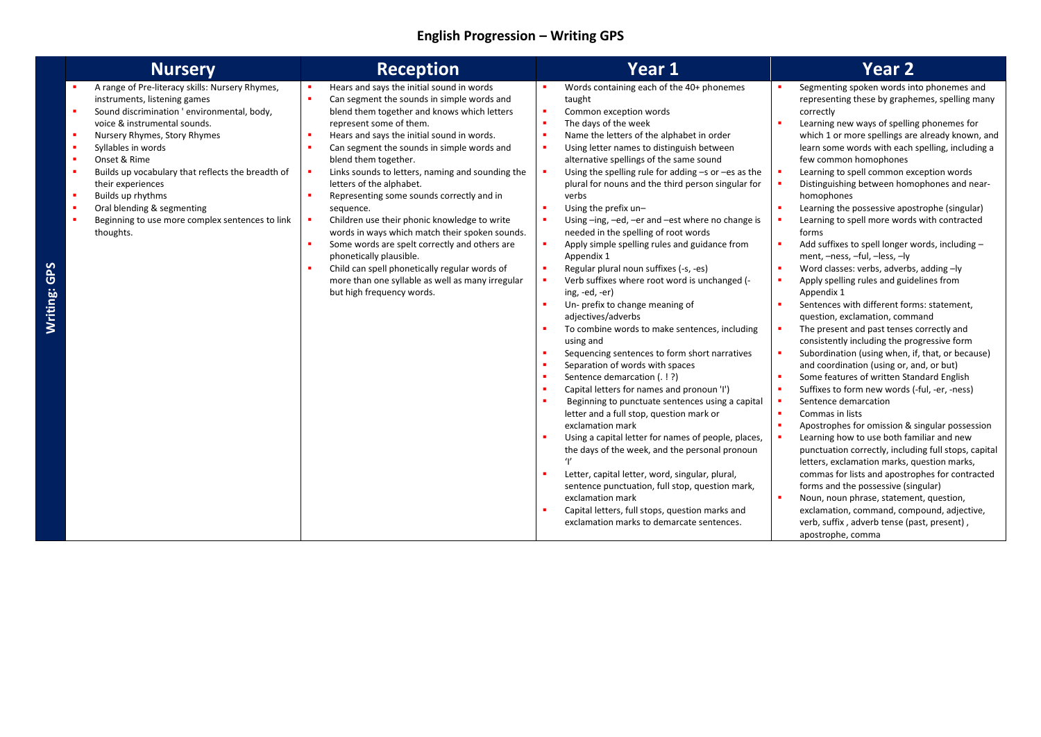### **English Progression – Writing GPS**

| <b>Nursery</b>                                                                                                                                                                                                                                                                                                                                                                                                                                                            | <b>Reception</b>                                                                                                                                                                                                                                                                                                                                                                                                                                                                                                                                                                                                                                                                                                                                | Year 1                                                                                                                                                                                                                                                                                                                                                                                                                                                                                                                                                                                                                                                                                                                                                                                                                                                                                                                                                                                                                                                                                                                                                                                                                                                                                                                                                                                                                                                                                                                                               | <b>Year 2</b>                                                                                                                                                                                                                                                                                                                                                                                                                                                                                                                                                                                                                                                                                                                                                                                                                                                                                                                                                                                                                                                                                                                                                                                                                                                                                                                                                                                                                                                                                                                                                                               |
|---------------------------------------------------------------------------------------------------------------------------------------------------------------------------------------------------------------------------------------------------------------------------------------------------------------------------------------------------------------------------------------------------------------------------------------------------------------------------|-------------------------------------------------------------------------------------------------------------------------------------------------------------------------------------------------------------------------------------------------------------------------------------------------------------------------------------------------------------------------------------------------------------------------------------------------------------------------------------------------------------------------------------------------------------------------------------------------------------------------------------------------------------------------------------------------------------------------------------------------|------------------------------------------------------------------------------------------------------------------------------------------------------------------------------------------------------------------------------------------------------------------------------------------------------------------------------------------------------------------------------------------------------------------------------------------------------------------------------------------------------------------------------------------------------------------------------------------------------------------------------------------------------------------------------------------------------------------------------------------------------------------------------------------------------------------------------------------------------------------------------------------------------------------------------------------------------------------------------------------------------------------------------------------------------------------------------------------------------------------------------------------------------------------------------------------------------------------------------------------------------------------------------------------------------------------------------------------------------------------------------------------------------------------------------------------------------------------------------------------------------------------------------------------------------|---------------------------------------------------------------------------------------------------------------------------------------------------------------------------------------------------------------------------------------------------------------------------------------------------------------------------------------------------------------------------------------------------------------------------------------------------------------------------------------------------------------------------------------------------------------------------------------------------------------------------------------------------------------------------------------------------------------------------------------------------------------------------------------------------------------------------------------------------------------------------------------------------------------------------------------------------------------------------------------------------------------------------------------------------------------------------------------------------------------------------------------------------------------------------------------------------------------------------------------------------------------------------------------------------------------------------------------------------------------------------------------------------------------------------------------------------------------------------------------------------------------------------------------------------------------------------------------------|
| A range of Pre-literacy skills: Nursery Rhymes,<br>instruments, listening games<br>٠<br>Sound discrimination ' environmental, body,<br>voice & instrumental sounds.<br>٠<br>Nursery Rhymes, Story Rhymes<br>×<br>Syllables in words<br>×<br>Onset & Rime<br>٠<br>Builds up vocabulary that reflects the breadth of<br>their experiences<br>٠<br>Builds up rhythms<br>٠<br>Oral blending & segmenting<br>٠<br>Beginning to use more complex sentences to link<br>thoughts. | Hears and says the initial sound in words<br>Can segment the sounds in simple words and<br>blend them together and knows which letters<br>represent some of them.<br>Hears and says the initial sound in words.<br>Can segment the sounds in simple words and<br>blend them together.<br>Links sounds to letters, naming and sounding the<br>letters of the alphabet.<br>Representing some sounds correctly and in<br>sequence.<br>Children use their phonic knowledge to write<br>words in ways which match their spoken sounds.<br>Some words are spelt correctly and others are<br>phonetically plausible.<br>Child can spell phonetically regular words of<br>more than one syllable as well as many irregular<br>but high frequency words. | Words containing each of the 40+ phonemes<br>taught<br>×<br>Common exception words<br>The days of the week<br>$\blacksquare$<br>Name the letters of the alphabet in order<br>×<br>Using letter names to distinguish between<br>×<br>alternative spellings of the same sound<br>Using the spelling rule for adding $-s$ or $-es$ as the<br>×<br>plural for nouns and the third person singular for<br>verbs<br>Using the prefix un-<br>×<br>Using-ing, -ed, -er and -est where no change is<br>×<br>needed in the spelling of root words<br>Apply simple spelling rules and guidance from<br>٠<br>Appendix 1<br>Regular plural noun suffixes (-s, -es)<br>×<br>Verb suffixes where root word is unchanged (-<br>×<br>ing, -ed, -er)<br>Un- prefix to change meaning of<br>×<br>adjectives/adverbs<br>To combine words to make sentences, including<br>using and<br>Sequencing sentences to form short narratives<br>٠<br>Separation of words with spaces<br>Sentence demarcation (. ! ?)<br>×<br>$\blacksquare$<br>Capital letters for names and pronoun 'I')<br>Beginning to punctuate sentences using a capital<br>$\blacksquare$<br>letter and a full stop, question mark or<br>exclamation mark<br>Using a capital letter for names of people, places,<br>the days of the week, and the personal pronoun<br>$^{\prime}$<br>Letter, capital letter, word, singular, plural,<br>sentence punctuation, full stop, question mark,<br>exclamation mark<br>Capital letters, full stops, question marks and<br>exclamation marks to demarcate sentences. | Segmenting spoken words into phonemes and<br>representing these by graphemes, spelling many<br>correctly<br>Learning new ways of spelling phonemes for<br>which 1 or more spellings are already known, and<br>learn some words with each spelling, including a<br>few common homophones<br>Learning to spell common exception words<br>Distinguishing between homophones and near-<br>homophones<br>Learning the possessive apostrophe (singular)<br>Learning to spell more words with contracted<br>forms<br>Add suffixes to spell longer words, including -<br>ment, -ness, -ful, -less, -ly<br>Word classes: verbs, adverbs, adding -ly<br>Apply spelling rules and guidelines from<br>Appendix 1<br>Sentences with different forms: statement,<br>question, exclamation, command<br>The present and past tenses correctly and<br>consistently including the progressive form<br>Subordination (using when, if, that, or because)<br>and coordination (using or, and, or but)<br>Some features of written Standard English<br>Suffixes to form new words (-ful, -er, -ness)<br>Sentence demarcation<br>Commas in lists<br>Apostrophes for omission & singular possession<br>Learning how to use both familiar and new<br>punctuation correctly, including full stops, capital<br>letters, exclamation marks, question marks,<br>commas for lists and apostrophes for contracted<br>forms and the possessive (singular)<br>٠<br>Noun, noun phrase, statement, question,<br>exclamation, command, compound, adjective,<br>verb, suffix, adverb tense (past, present),<br>apostrophe, comma |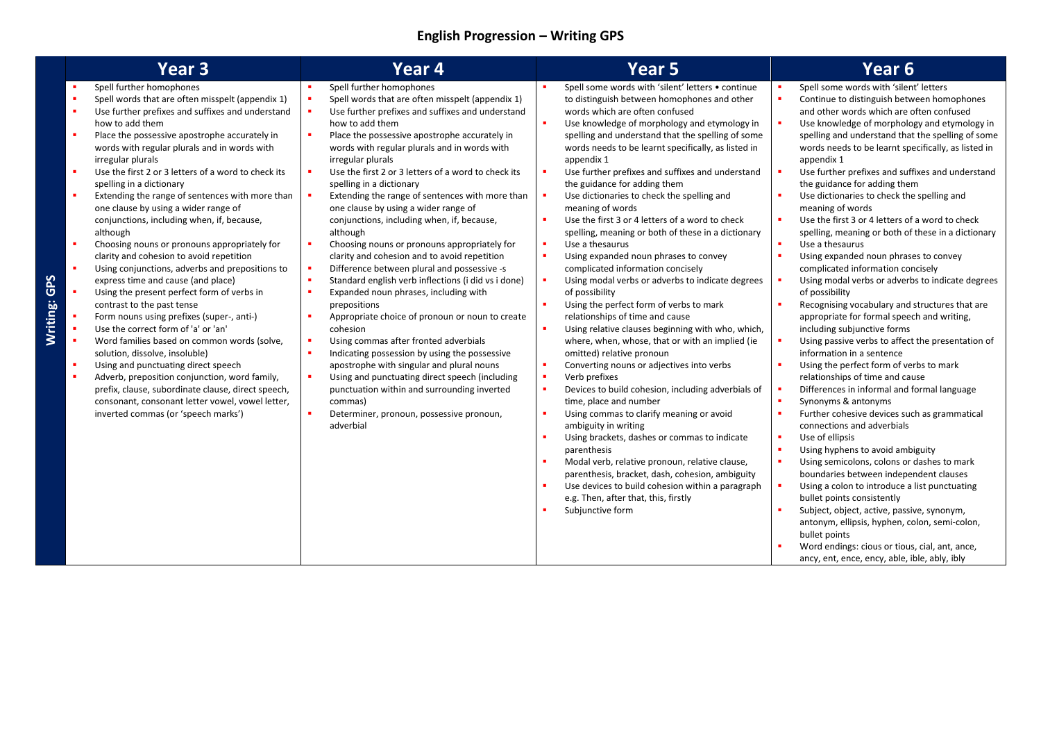### **English Progression – Writing GPS**

|                                                                                                                                           | Year <sub>3</sub>                                                                                                                                                                                                                                                                                                                                                                                                                                                                                                                                                                                                                                                                                                                                                                                                                                                                                                                                                                                                                                                                                                                                                                                | Year <sub>4</sub>                                                                                                                                                                                                                                                                                                                                                                                                                                                                                                                                                                                                                                                                                                                                                                                                                                                                                                                                                                                                                                                                                                                                                                                                                                                   | <b>Year 5</b>                                                                                                                                                                                                                                                                                                                                                                                                                                                                                                                                                                                                                                                                                                                                                                                                                                                                                                                                                                                                                                                                                                                                                                                                                                                                                                                                                                                                                                                                                                                                                       | Year 6                                                                                                                                                                                                                                                                                                                                                                                                                                                                                                                                                                                                                                                                                                                                                                                                                                                                                                                                                                                                                                                                                                                                                                                                                                                                                                                                                                                                                                                                                                                                                                                              |
|-------------------------------------------------------------------------------------------------------------------------------------------|--------------------------------------------------------------------------------------------------------------------------------------------------------------------------------------------------------------------------------------------------------------------------------------------------------------------------------------------------------------------------------------------------------------------------------------------------------------------------------------------------------------------------------------------------------------------------------------------------------------------------------------------------------------------------------------------------------------------------------------------------------------------------------------------------------------------------------------------------------------------------------------------------------------------------------------------------------------------------------------------------------------------------------------------------------------------------------------------------------------------------------------------------------------------------------------------------|---------------------------------------------------------------------------------------------------------------------------------------------------------------------------------------------------------------------------------------------------------------------------------------------------------------------------------------------------------------------------------------------------------------------------------------------------------------------------------------------------------------------------------------------------------------------------------------------------------------------------------------------------------------------------------------------------------------------------------------------------------------------------------------------------------------------------------------------------------------------------------------------------------------------------------------------------------------------------------------------------------------------------------------------------------------------------------------------------------------------------------------------------------------------------------------------------------------------------------------------------------------------|---------------------------------------------------------------------------------------------------------------------------------------------------------------------------------------------------------------------------------------------------------------------------------------------------------------------------------------------------------------------------------------------------------------------------------------------------------------------------------------------------------------------------------------------------------------------------------------------------------------------------------------------------------------------------------------------------------------------------------------------------------------------------------------------------------------------------------------------------------------------------------------------------------------------------------------------------------------------------------------------------------------------------------------------------------------------------------------------------------------------------------------------------------------------------------------------------------------------------------------------------------------------------------------------------------------------------------------------------------------------------------------------------------------------------------------------------------------------------------------------------------------------------------------------------------------------|-----------------------------------------------------------------------------------------------------------------------------------------------------------------------------------------------------------------------------------------------------------------------------------------------------------------------------------------------------------------------------------------------------------------------------------------------------------------------------------------------------------------------------------------------------------------------------------------------------------------------------------------------------------------------------------------------------------------------------------------------------------------------------------------------------------------------------------------------------------------------------------------------------------------------------------------------------------------------------------------------------------------------------------------------------------------------------------------------------------------------------------------------------------------------------------------------------------------------------------------------------------------------------------------------------------------------------------------------------------------------------------------------------------------------------------------------------------------------------------------------------------------------------------------------------------------------------------------------------|
| $\blacksquare$<br>×<br>×<br>$\mathbf{r}$<br>×<br>×<br>$\blacksquare$<br>٠<br>$\blacksquare$<br>$\blacksquare$<br>×<br>×<br>$\blacksquare$ | Spell further homophones<br>Spell words that are often misspelt (appendix 1)<br>Use further prefixes and suffixes and understand<br>how to add them<br>Place the possessive apostrophe accurately in<br>words with regular plurals and in words with<br>irregular plurals<br>Use the first 2 or 3 letters of a word to check its<br>spelling in a dictionary<br>Extending the range of sentences with more than<br>one clause by using a wider range of<br>conjunctions, including when, if, because,<br>although<br>Choosing nouns or pronouns appropriately for<br>clarity and cohesion to avoid repetition<br>Using conjunctions, adverbs and prepositions to<br>express time and cause (and place)<br>Using the present perfect form of verbs in<br>contrast to the past tense<br>Form nouns using prefixes (super-, anti-)<br>Use the correct form of 'a' or 'an'<br>Word families based on common words (solve,<br>solution, dissolve, insoluble)<br>Using and punctuating direct speech<br>Adverb, preposition conjunction, word family,<br>prefix, clause, subordinate clause, direct speech,<br>consonant, consonant letter vowel, vowel letter,<br>inverted commas (or 'speech marks') | Spell further homophones<br>Spell words that are often misspelt (appendix 1)<br>Use further prefixes and suffixes and understand<br>٠<br>how to add them<br>$\blacksquare$<br>Place the possessive apostrophe accurately in<br>words with regular plurals and in words with<br>irregular plurals<br>٠<br>Use the first 2 or 3 letters of a word to check its<br>spelling in a dictionary<br>$\blacksquare$<br>Extending the range of sentences with more than<br>one clause by using a wider range of<br>conjunctions, including when, if, because,<br>although<br>٠<br>Choosing nouns or pronouns appropriately for<br>clarity and cohesion and to avoid repetition<br>Difference between plural and possessive -s<br>٠<br>$\blacksquare$<br>Standard english verb inflections (i did vs i done)<br>Expanded noun phrases, including with<br>٠<br>prepositions<br>٠<br>Appropriate choice of pronoun or noun to create<br>cohesion<br>Using commas after fronted adverbials<br>٠<br>Indicating possession by using the possessive<br>٠<br>apostrophe with singular and plural nouns<br>Using and punctuating direct speech (including<br>٠<br>punctuation within and surrounding inverted<br>commas)<br>٠<br>Determiner, pronoun, possessive pronoun,<br>adverbial | Spell some words with 'silent' letters . continue<br>to distinguish between homophones and other<br>words which are often confused<br>٠<br>Use knowledge of morphology and etymology in<br>spelling and understand that the spelling of some<br>words needs to be learnt specifically, as listed in<br>appendix 1<br>٠<br>Use further prefixes and suffixes and understand<br>the guidance for adding them<br>Use dictionaries to check the spelling and<br>meaning of words<br>Use the first 3 or 4 letters of a word to check<br>٠<br>spelling, meaning or both of these in a dictionary<br>٠<br>Use a thesaurus<br>٠<br>Using expanded noun phrases to convey<br>complicated information concisely<br>$\blacksquare$<br>Using modal verbs or adverbs to indicate degrees<br>of possibility<br>Using the perfect form of verbs to mark<br>relationships of time and cause<br>٠<br>Using relative clauses beginning with who, which,<br>where, when, whose, that or with an implied (ie<br>omitted) relative pronoun<br>×<br>Converting nouns or adjectives into verbs<br>Verb prefixes<br>٠<br>×<br>Devices to build cohesion, including adverbials of<br>time, place and number<br>٠<br>Using commas to clarify meaning or avoid<br>ambiguity in writing<br>Using brackets, dashes or commas to indicate<br>٠<br>parenthesis<br>٠<br>Modal verb, relative pronoun, relative clause,<br>parenthesis, bracket, dash, cohesion, ambiguity<br>٠<br>Use devices to build cohesion within a paragraph<br>e.g. Then, after that, this, firstly<br>Subjunctive form<br>٠ | Spell some words with 'silent' letters<br>Continue to distinguish between homophones<br>and other words which are often confused<br>Use knowledge of morphology and etymology in<br>spelling and understand that the spelling of some<br>words needs to be learnt specifically, as listed in<br>appendix 1<br>Use further prefixes and suffixes and understand<br>the guidance for adding them<br>Use dictionaries to check the spelling and<br>meaning of words<br>Use the first 3 or 4 letters of a word to check<br>spelling, meaning or both of these in a dictionary<br>Use a thesaurus<br>Using expanded noun phrases to convey<br>complicated information concisely<br>Using modal verbs or adverbs to indicate degrees<br>of possibility<br>Recognising vocabulary and structures that are<br>appropriate for formal speech and writing,<br>including subjunctive forms<br>Using passive verbs to affect the presentation of<br>information in a sentence<br>Using the perfect form of verbs to mark<br>relationships of time and cause<br>Differences in informal and formal language<br>Synonyms & antonyms<br>Further cohesive devices such as grammatical<br>connections and adverbials<br>Use of ellipsis<br>Using hyphens to avoid ambiguity<br>Using semicolons, colons or dashes to mark<br>boundaries between independent clauses<br>Using a colon to introduce a list punctuating<br>bullet points consistently<br>Subject, object, active, passive, synonym,<br>antonym, ellipsis, hyphen, colon, semi-colon,<br>bullet points<br>Word endings: cious or tious, cial, ant, ance, |
|                                                                                                                                           |                                                                                                                                                                                                                                                                                                                                                                                                                                                                                                                                                                                                                                                                                                                                                                                                                                                                                                                                                                                                                                                                                                                                                                                                  |                                                                                                                                                                                                                                                                                                                                                                                                                                                                                                                                                                                                                                                                                                                                                                                                                                                                                                                                                                                                                                                                                                                                                                                                                                                                     |                                                                                                                                                                                                                                                                                                                                                                                                                                                                                                                                                                                                                                                                                                                                                                                                                                                                                                                                                                                                                                                                                                                                                                                                                                                                                                                                                                                                                                                                                                                                                                     | ancy, ent, ence, ency, able, ible, ably, ibly                                                                                                                                                                                                                                                                                                                                                                                                                                                                                                                                                                                                                                                                                                                                                                                                                                                                                                                                                                                                                                                                                                                                                                                                                                                                                                                                                                                                                                                                                                                                                       |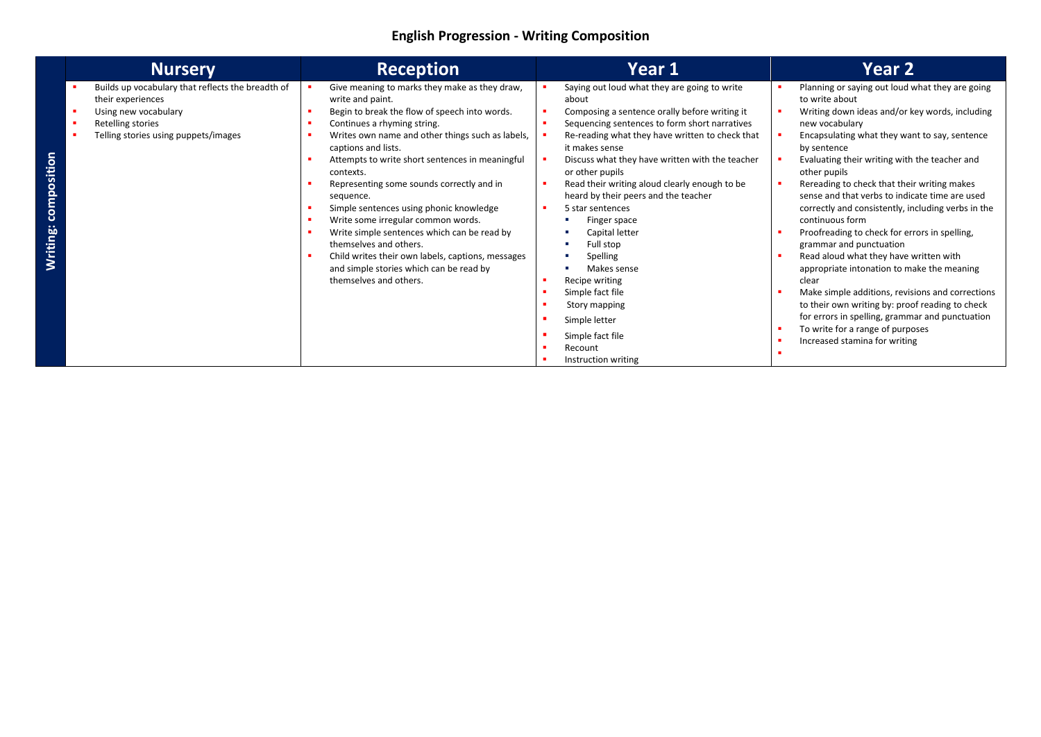### **English Progression - Writing Composition**

| <b>Nursery</b>                                                                                                                                              | <b>Reception</b>                                                                                                                                                                                                                                                                                                                                                                                                                                                                                                                                                                                                                           | Year 1                                                                                                                                                                                                                                                                                                                                                                                                                                                                                                                                                                                                                                           | <b>Year 2</b>                                                                                                                                                                                                                                                                                                                                                                                                                                                                                                                                                                                                                                                                                                                                                                                                                                                |
|-------------------------------------------------------------------------------------------------------------------------------------------------------------|--------------------------------------------------------------------------------------------------------------------------------------------------------------------------------------------------------------------------------------------------------------------------------------------------------------------------------------------------------------------------------------------------------------------------------------------------------------------------------------------------------------------------------------------------------------------------------------------------------------------------------------------|--------------------------------------------------------------------------------------------------------------------------------------------------------------------------------------------------------------------------------------------------------------------------------------------------------------------------------------------------------------------------------------------------------------------------------------------------------------------------------------------------------------------------------------------------------------------------------------------------------------------------------------------------|--------------------------------------------------------------------------------------------------------------------------------------------------------------------------------------------------------------------------------------------------------------------------------------------------------------------------------------------------------------------------------------------------------------------------------------------------------------------------------------------------------------------------------------------------------------------------------------------------------------------------------------------------------------------------------------------------------------------------------------------------------------------------------------------------------------------------------------------------------------|
| Builds up vocabulary that reflects the breadth of<br>their experiences<br>Using new vocabulary<br>Retelling stories<br>Telling stories using puppets/images | Give meaning to marks they make as they draw,<br>write and paint.<br>Begin to break the flow of speech into words.<br>Continues a rhyming string.<br>Writes own name and other things such as labels,<br>captions and lists.<br>Attempts to write short sentences in meaningful<br>contexts.<br>Representing some sounds correctly and in<br>sequence.<br>Simple sentences using phonic knowledge<br>Write some irregular common words.<br>Write simple sentences which can be read by<br>themselves and others.<br>Child writes their own labels, captions, messages<br>and simple stories which can be read by<br>themselves and others. | Saying out loud what they are going to write<br>about<br>Composing a sentence orally before writing it<br>٠<br>Sequencing sentences to form short narratives<br>٠<br>Re-reading what they have written to check that<br>it makes sense<br>Discuss what they have written with the teacher<br>or other pupils<br>Read their writing aloud clearly enough to be<br>л<br>heard by their peers and the teacher<br>5 star sentences<br>Finger space<br>Capital letter<br>Full stop<br>Spelling<br>Makes sense<br>Recipe writing<br>٠<br>Simple fact file<br>л<br>Story mapping<br>Simple letter<br>Simple fact file<br>Recount<br>Instruction writing | Planning or saying out loud what they are going<br>to write about<br>Writing down ideas and/or key words, including<br>new vocabulary<br>Encapsulating what they want to say, sentence<br>by sentence<br>Evaluating their writing with the teacher and<br>other pupils<br>Rereading to check that their writing makes<br>sense and that verbs to indicate time are used<br>correctly and consistently, including verbs in the<br>continuous form<br>Proofreading to check for errors in spelling,<br>grammar and punctuation<br>Read aloud what they have written with<br>appropriate intonation to make the meaning<br>clear<br>Make simple additions, revisions and corrections<br>to their own writing by: proof reading to check<br>for errors in spelling, grammar and punctuation<br>To write for a range of purposes<br>Increased stamina for writing |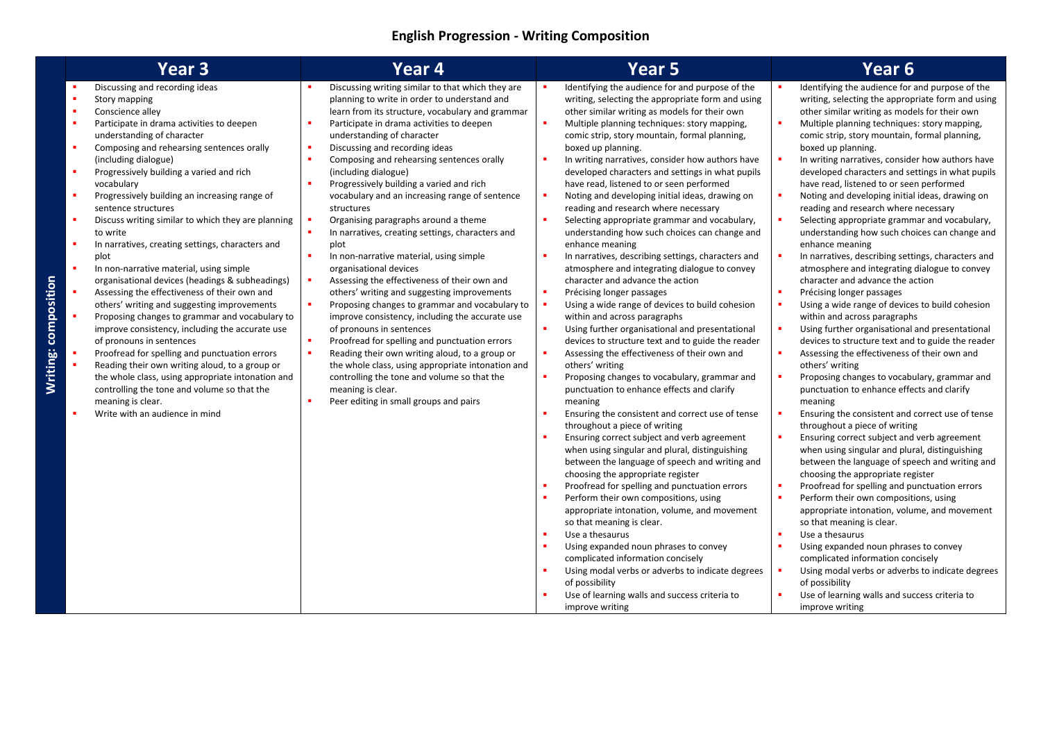## **English Progression - Writing Composition**

|                                                                                        | Year <sub>3</sub>                                                                                                                                                                                                                                                                                                                                                                                                                                                                                                                                                                                                                                                                                                                                                                                                                                                                                                                                                                                                                                                               | Year 4                                                                                                                                                                                                                                                                                                                                                                                                                                                                                                                                                                                                                                                                                                                                                                                                                                                                                                                                                                                                                                                                                                                                       | Year <sub>5</sub>                                                                                                                                                                                                                                                                                                                                                                                                                                                                                                                                                                                                                                                                                                                                                                                                                                                                                                                                                                                                                                                                                                                                                                                                                                                                                                                                                                                                                                                                                                                                                                                                                                                                                                                                                                                                                                                                              | Year <sub>6</sub>                                                                                                                                                                                                                                                                                                                                                                                                                                                                                                                                                                                                                                                                                                                                                                                                                                                                                                                                                                                                                                                                                                                                                                                                                                                                                                                                                                                                                                                                                                                                                                                                                                                                                                                                                                                                                                                                                             |
|----------------------------------------------------------------------------------------|---------------------------------------------------------------------------------------------------------------------------------------------------------------------------------------------------------------------------------------------------------------------------------------------------------------------------------------------------------------------------------------------------------------------------------------------------------------------------------------------------------------------------------------------------------------------------------------------------------------------------------------------------------------------------------------------------------------------------------------------------------------------------------------------------------------------------------------------------------------------------------------------------------------------------------------------------------------------------------------------------------------------------------------------------------------------------------|----------------------------------------------------------------------------------------------------------------------------------------------------------------------------------------------------------------------------------------------------------------------------------------------------------------------------------------------------------------------------------------------------------------------------------------------------------------------------------------------------------------------------------------------------------------------------------------------------------------------------------------------------------------------------------------------------------------------------------------------------------------------------------------------------------------------------------------------------------------------------------------------------------------------------------------------------------------------------------------------------------------------------------------------------------------------------------------------------------------------------------------------|------------------------------------------------------------------------------------------------------------------------------------------------------------------------------------------------------------------------------------------------------------------------------------------------------------------------------------------------------------------------------------------------------------------------------------------------------------------------------------------------------------------------------------------------------------------------------------------------------------------------------------------------------------------------------------------------------------------------------------------------------------------------------------------------------------------------------------------------------------------------------------------------------------------------------------------------------------------------------------------------------------------------------------------------------------------------------------------------------------------------------------------------------------------------------------------------------------------------------------------------------------------------------------------------------------------------------------------------------------------------------------------------------------------------------------------------------------------------------------------------------------------------------------------------------------------------------------------------------------------------------------------------------------------------------------------------------------------------------------------------------------------------------------------------------------------------------------------------------------------------------------------------|---------------------------------------------------------------------------------------------------------------------------------------------------------------------------------------------------------------------------------------------------------------------------------------------------------------------------------------------------------------------------------------------------------------------------------------------------------------------------------------------------------------------------------------------------------------------------------------------------------------------------------------------------------------------------------------------------------------------------------------------------------------------------------------------------------------------------------------------------------------------------------------------------------------------------------------------------------------------------------------------------------------------------------------------------------------------------------------------------------------------------------------------------------------------------------------------------------------------------------------------------------------------------------------------------------------------------------------------------------------------------------------------------------------------------------------------------------------------------------------------------------------------------------------------------------------------------------------------------------------------------------------------------------------------------------------------------------------------------------------------------------------------------------------------------------------------------------------------------------------------------------------------------------------|
| ٠<br>٠<br>٠<br>٠<br>٠<br>ж.<br>ж.<br>٠<br>$\bullet$<br>Writing: composition<br>×<br>л. | Discussing and recording ideas<br>Story mapping<br>Conscience alley<br>Participate in drama activities to deepen<br>understanding of character<br>Composing and rehearsing sentences orally<br>(including dialogue)<br>Progressively building a varied and rich<br>vocabulary<br>Progressively building an increasing range of<br>sentence structures<br>Discuss writing similar to which they are planning<br>to write<br>In narratives, creating settings, characters and<br>plot<br>In non-narrative material, using simple<br>organisational devices (headings & subheadings)<br>Assessing the effectiveness of their own and<br>others' writing and suggesting improvements<br>Proposing changes to grammar and vocabulary to<br>improve consistency, including the accurate use<br>of pronouns in sentences<br>Proofread for spelling and punctuation errors<br>Reading their own writing aloud, to a group or<br>the whole class, using appropriate intonation and<br>controlling the tone and volume so that the<br>meaning is clear.<br>Write with an audience in mind | Discussing writing similar to that which they are<br>planning to write in order to understand and<br>learn from its structure, vocabulary and grammar<br>Participate in drama activities to deepen<br>understanding of character<br>Discussing and recording ideas<br>×<br>Composing and rehearsing sentences orally<br>٠<br>(including dialogue)<br>Progressively building a varied and rich<br>vocabulary and an increasing range of sentence<br>structures<br>Organising paragraphs around a theme<br>In narratives, creating settings, characters and<br>plot<br>In non-narrative material, using simple<br>organisational devices<br>Assessing the effectiveness of their own and<br>others' writing and suggesting improvements<br>Proposing changes to grammar and vocabulary to<br>improve consistency, including the accurate use<br>of pronouns in sentences<br>Proofread for spelling and punctuation errors<br>Reading their own writing aloud, to a group or<br>the whole class, using appropriate intonation and<br>controlling the tone and volume so that the<br>meaning is clear.<br>Peer editing in small groups and pairs | Identifying the audience for and purpose of the<br>writing, selecting the appropriate form and using<br>other similar writing as models for their own<br>Multiple planning techniques: story mapping,<br>comic strip, story mountain, formal planning,<br>boxed up planning.<br>In writing narratives, consider how authors have<br>developed characters and settings in what pupils<br>have read, listened to or seen performed<br>Noting and developing initial ideas, drawing on<br>reading and research where necessary<br>Selecting appropriate grammar and vocabulary,<br>understanding how such choices can change and<br>enhance meaning<br>In narratives, describing settings, characters and<br>atmosphere and integrating dialogue to convey<br>character and advance the action<br>Précising longer passages<br>Using a wide range of devices to build cohesion<br>within and across paragraphs<br>Using further organisational and presentational<br>devices to structure text and to guide the reader<br>Assessing the effectiveness of their own and<br>others' writing<br>Proposing changes to vocabulary, grammar and<br>punctuation to enhance effects and clarify<br>meaning<br>Ensuring the consistent and correct use of tense<br>throughout a piece of writing<br>Ensuring correct subject and verb agreement<br>when using singular and plural, distinguishing<br>between the language of speech and writing and<br>choosing the appropriate register<br>Proofread for spelling and punctuation errors<br>Perform their own compositions, using<br>appropriate intonation, volume, and movement<br>so that meaning is clear.<br>Use a thesaurus<br>Using expanded noun phrases to convey<br>complicated information concisely<br>Using modal verbs or adverbs to indicate degrees<br>of possibility<br>Use of learning walls and success criteria to<br>improve writing | Identifying the audience for and purpose of the<br>writing, selecting the appropriate form and using<br>other similar writing as models for their own<br>Multiple planning techniques: story mapping,<br>comic strip, story mountain, formal planning,<br>boxed up planning.<br>In writing narratives, consider how authors have<br>developed characters and settings in what pupils<br>have read, listened to or seen performed<br>Noting and developing initial ideas, drawing on<br>reading and research where necessary<br>Selecting appropriate grammar and vocabulary,<br>understanding how such choices can change and<br>enhance meaning<br>In narratives, describing settings, characters and<br>atmosphere and integrating dialogue to convey<br>character and advance the action<br>Précising longer passages<br>Using a wide range of devices to build cohesion<br>within and across paragraphs<br>Using further organisational and presentational<br>л<br>devices to structure text and to guide the reader<br>Assessing the effectiveness of their own and<br>others' writing<br>Proposing changes to vocabulary, grammar and<br>л<br>punctuation to enhance effects and clarify<br>meaning<br>Ensuring the consistent and correct use of tense<br>throughout a piece of writing<br>Ensuring correct subject and verb agreement<br>when using singular and plural, distinguishing<br>between the language of speech and writing and<br>choosing the appropriate register<br>Proofread for spelling and punctuation errors<br>Perform their own compositions, using<br>appropriate intonation, volume, and movement<br>so that meaning is clear.<br>Use a thesaurus<br>×<br>Using expanded noun phrases to convey<br>complicated information concisely<br>Using modal verbs or adverbs to indicate degrees<br>of possibility<br>Use of learning walls and success criteria to<br>improve writing |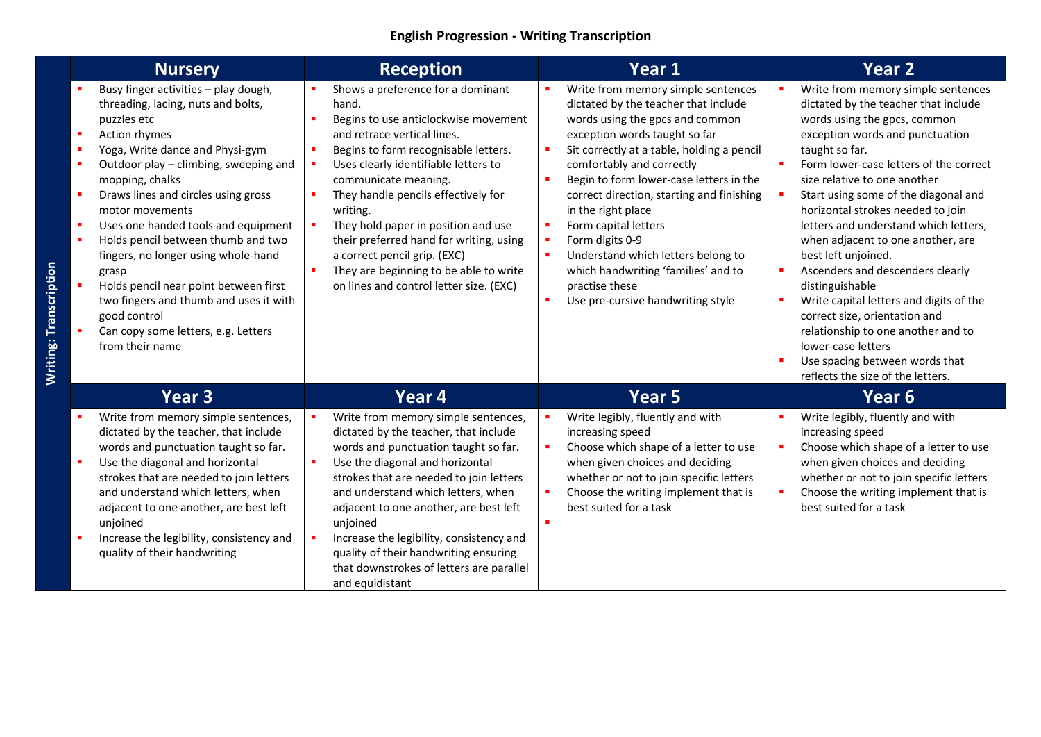### **English Progression - Writing Transcription**

| <b>Nursery</b>                                                                                                                                                                                                                                                                                                                                                                                                                                                                                                                                                                                                                | <b>Reception</b>                                                                                                                                                                                                                                                                                                                                                                                                                                                                    | Year 1                                                                                                                                                                                                                                                                                                                                                                                                                                                                                                                                                                         | <b>Year 2</b>                                                                                                                                                                                                                                                                                                                                                                                                                                                                                                                                                                                                                                                                                     |
|-------------------------------------------------------------------------------------------------------------------------------------------------------------------------------------------------------------------------------------------------------------------------------------------------------------------------------------------------------------------------------------------------------------------------------------------------------------------------------------------------------------------------------------------------------------------------------------------------------------------------------|-------------------------------------------------------------------------------------------------------------------------------------------------------------------------------------------------------------------------------------------------------------------------------------------------------------------------------------------------------------------------------------------------------------------------------------------------------------------------------------|--------------------------------------------------------------------------------------------------------------------------------------------------------------------------------------------------------------------------------------------------------------------------------------------------------------------------------------------------------------------------------------------------------------------------------------------------------------------------------------------------------------------------------------------------------------------------------|---------------------------------------------------------------------------------------------------------------------------------------------------------------------------------------------------------------------------------------------------------------------------------------------------------------------------------------------------------------------------------------------------------------------------------------------------------------------------------------------------------------------------------------------------------------------------------------------------------------------------------------------------------------------------------------------------|
| Busy finger activities - play dough,<br>threading, lacing, nuts and bolts,<br>puzzles etc<br>$\blacksquare$<br>Action rhymes<br>Yoga, Write dance and Physi-gym<br>×<br>Outdoor play - climbing, sweeping and<br>×<br>mopping, chalks<br>$\blacksquare$<br>Draws lines and circles using gross<br>motor movements<br>Uses one handed tools and equipment<br>Holds pencil between thumb and two<br>$\blacksquare$<br>fingers, no longer using whole-hand<br>grasp<br>Holds pencil near point between first<br>two fingers and thumb and uses it with<br>good control<br>Can copy some letters, e.g. Letters<br>from their name | Shows a preference for a dominant<br>hand.<br>Begins to use anticlockwise movement<br>and retrace vertical lines.<br>Begins to form recognisable letters.<br>Uses clearly identifiable letters to<br>communicate meaning.<br>They handle pencils effectively for<br>writing.<br>They hold paper in position and use<br>their preferred hand for writing, using<br>a correct pencil grip. (EXC)<br>They are beginning to be able to write<br>on lines and control letter size. (EXC) | Write from memory simple sentences<br>dictated by the teacher that include<br>words using the gpcs and common<br>exception words taught so far<br>$\blacksquare$<br>Sit correctly at a table, holding a pencil<br>comfortably and correctly<br>Begin to form lower-case letters in the<br>×<br>correct direction, starting and finishing<br>in the right place<br>Form capital letters<br>٠<br>Form digits 0-9<br>٠<br>Understand which letters belong to<br>п<br>which handwriting 'families' and to<br>practise these<br>$\blacksquare$<br>Use pre-cursive handwriting style | Write from memory simple sentences<br>dictated by the teacher that include<br>words using the gpcs, common<br>exception words and punctuation<br>taught so far.<br>Form lower-case letters of the correct<br>size relative to one another<br>Start using some of the diagonal and<br>horizontal strokes needed to join<br>letters and understand which letters,<br>when adjacent to one another, are<br>best left unjoined.<br>Ascenders and descenders clearly<br>distinguishable<br>Write capital letters and digits of the<br>correct size, orientation and<br>relationship to one another and to<br>lower-case letters<br>Use spacing between words that<br>reflects the size of the letters. |
| Year <sub>3</sub>                                                                                                                                                                                                                                                                                                                                                                                                                                                                                                                                                                                                             | Year 4                                                                                                                                                                                                                                                                                                                                                                                                                                                                              | <b>Year 5</b>                                                                                                                                                                                                                                                                                                                                                                                                                                                                                                                                                                  | Year 6                                                                                                                                                                                                                                                                                                                                                                                                                                                                                                                                                                                                                                                                                            |
| Write from memory simple sentences,<br>dictated by the teacher, that include<br>words and punctuation taught so far.<br>Use the diagonal and horizontal<br>strokes that are needed to join letters<br>and understand which letters, when<br>adjacent to one another, are best left<br>unjoined<br>Increase the legibility, consistency and<br>quality of their handwriting                                                                                                                                                                                                                                                    | Write from memory simple sentences,<br>dictated by the teacher, that include<br>words and punctuation taught so far.<br>Use the diagonal and horizontal<br>strokes that are needed to join letters<br>and understand which letters, when<br>adjacent to one another, are best left<br>unjoined<br>Increase the legibility, consistency and<br>quality of their handwriting ensuring<br>that downstrokes of letters are parallel<br>and equidistant                                  | Write legibly, fluently and with<br>increasing speed<br>٠<br>Choose which shape of a letter to use<br>when given choices and deciding<br>whether or not to join specific letters<br>Choose the writing implement that is<br>٠<br>best suited for a task<br>$\blacksquare$                                                                                                                                                                                                                                                                                                      | Write legibly, fluently and with<br>increasing speed<br>Choose which shape of a letter to use<br>when given choices and deciding<br>whether or not to join specific letters<br>Choose the writing implement that is<br>best suited for a task                                                                                                                                                                                                                                                                                                                                                                                                                                                     |